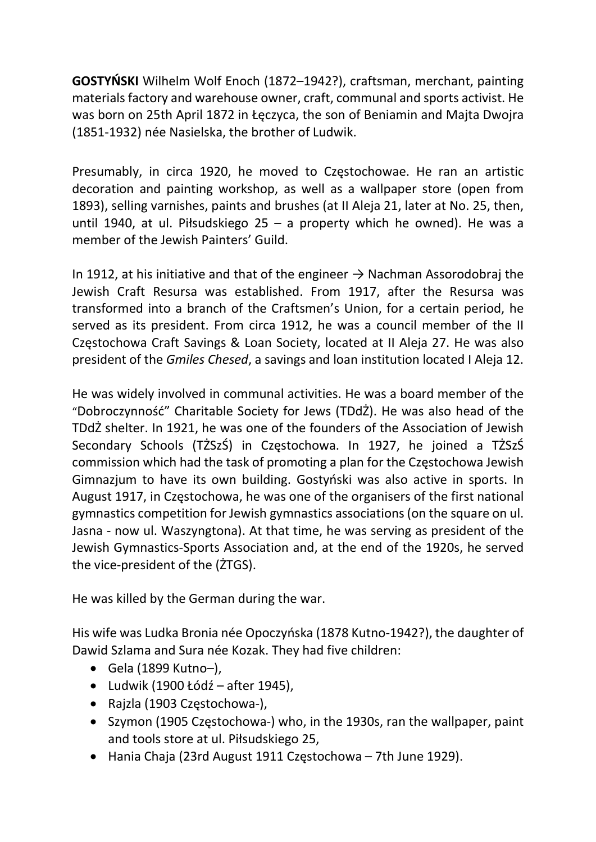GOSTYŃSKI Wilhelm Wolf Enoch (1872–1942?), craftsman, merchant, painting materials factory and warehouse owner, craft, communal and sports activist. He was born on 25th April 1872 in Łęczyca, the son of Beniamin and Majta Dwojra (1851-1932) née Nasielska, the brother of Ludwik.

Presumably, in circa 1920, he moved to Częstochowae. He ran an artistic decoration and painting workshop, as well as a wallpaper store (open from 1893), selling varnishes, paints and brushes (at II Aleja 21, later at No. 25, then, until 1940, at ul. Piłsudskiego 25 – a property which he owned). He was a member of the Jewish Painters' Guild.

In 1912, at his initiative and that of the engineer  $\rightarrow$  Nachman Assorodobraj the Jewish Craft Resursa was established. From 1917, after the Resursa was transformed into a branch of the Craftsmen's Union, for a certain period, he served as its president. From circa 1912, he was a council member of the II Częstochowa Craft Savings & Loan Society, located at II Aleja 27. He was also president of the Gmiles Chesed, a savings and loan institution located I Aleja 12.

He was widely involved in communal activities. He was a board member of the "Dobroczynność" Charitable Society for Jews (TDdŻ). He was also head of the TDdŻ shelter. In 1921, he was one of the founders of the Association of Jewish Secondary Schools (TŻSzŚ) in Częstochowa. In 1927, he joined a TŻSzŚ commission which had the task of promoting a plan for the Częstochowa Jewish Gimnazjum to have its own building. Gostyński was also active in sports. In August 1917, in Częstochowa, he was one of the organisers of the first national gymnastics competition for Jewish gymnastics associations (on the square on ul. Jasna - now ul. Waszyngtona). At that time, he was serving as president of the Jewish Gymnastics-Sports Association and, at the end of the 1920s, he served the vice-president of the (ŻTGS).

He was killed by the German during the war.

His wife was Ludka Bronia née Opoczyńska (1878 Kutno-1942?), the daughter of Dawid Szlama and Sura née Kozak. They had five children:

- Gela (1899 Kutno–),
- $\bullet$  Ludwik (1900 Łódź after 1945),
- Rajzla (1903 Częstochowa-),
- Szymon (1905 Częstochowa-) who, in the 1930s, ran the wallpaper, paint and tools store at ul. Piłsudskiego 25,
- Hania Chaja (23rd August 1911 Częstochowa 7th June 1929).